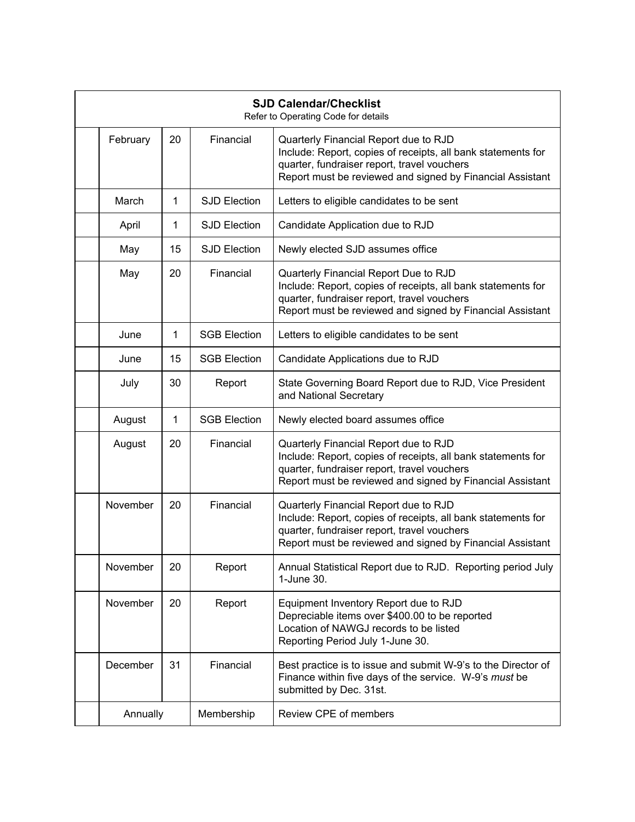| <b>SJD Calendar/Checklist</b><br>Refer to Operating Code for details |          |    |                     |                                                                                                                                                                                                                   |
|----------------------------------------------------------------------|----------|----|---------------------|-------------------------------------------------------------------------------------------------------------------------------------------------------------------------------------------------------------------|
|                                                                      | February | 20 | Financial           | Quarterly Financial Report due to RJD<br>Include: Report, copies of receipts, all bank statements for<br>quarter, fundraiser report, travel vouchers<br>Report must be reviewed and signed by Financial Assistant |
|                                                                      | March    | 1  | <b>SJD Election</b> | Letters to eligible candidates to be sent                                                                                                                                                                         |
|                                                                      | April    | 1  | <b>SJD Election</b> | Candidate Application due to RJD                                                                                                                                                                                  |
|                                                                      | May      | 15 | <b>SJD Election</b> | Newly elected SJD assumes office                                                                                                                                                                                  |
|                                                                      | May      | 20 | Financial           | Quarterly Financial Report Due to RJD<br>Include: Report, copies of receipts, all bank statements for<br>quarter, fundraiser report, travel vouchers<br>Report must be reviewed and signed by Financial Assistant |
|                                                                      | June     | 1  | <b>SGB Election</b> | Letters to eligible candidates to be sent                                                                                                                                                                         |
|                                                                      | June     | 15 | <b>SGB Election</b> | Candidate Applications due to RJD                                                                                                                                                                                 |
|                                                                      | July     | 30 | Report              | State Governing Board Report due to RJD, Vice President<br>and National Secretary                                                                                                                                 |
|                                                                      | August   | 1  | <b>SGB Election</b> | Newly elected board assumes office                                                                                                                                                                                |
|                                                                      | August   | 20 | Financial           | Quarterly Financial Report due to RJD<br>Include: Report, copies of receipts, all bank statements for<br>quarter, fundraiser report, travel vouchers<br>Report must be reviewed and signed by Financial Assistant |
|                                                                      | November | 20 | Financial           | Quarterly Financial Report due to RJD<br>Include: Report, copies of receipts, all bank statements for<br>quarter, fundraiser report, travel vouchers<br>Report must be reviewed and signed by Financial Assistant |
|                                                                      | November | 20 | Report              | Annual Statistical Report due to RJD. Reporting period July<br>1-June 30.                                                                                                                                         |
|                                                                      | November | 20 | Report              | Equipment Inventory Report due to RJD<br>Depreciable items over \$400.00 to be reported<br>Location of NAWGJ records to be listed<br>Reporting Period July 1-June 30.                                             |
|                                                                      | December | 31 | Financial           | Best practice is to issue and submit W-9's to the Director of<br>Finance within five days of the service. W-9's must be<br>submitted by Dec. 31st.                                                                |
|                                                                      | Annually |    | Membership          | Review CPE of members                                                                                                                                                                                             |